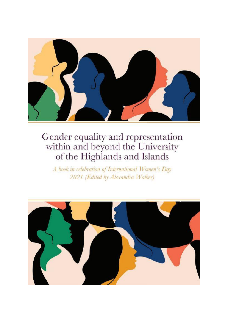

A book in celebration of International Women's Day 2021 (Edited by Alexandra Walker)

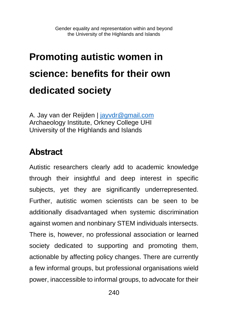## **Promoting autistic women in science: benefits for their own dedicated society**

A. Jay van der Reijden | [jayvdr@gmail.com](mailto:jayvdr@gmail.com) Archaeology Institute, Orkney College UHI University of the Highlands and Islands

#### **Abstract**

Autistic researchers clearly add to academic knowledge through their insightful and deep interest in specific subjects, yet they are significantly underrepresented. Further, autistic women scientists can be seen to be additionally disadvantaged when systemic discrimination against women and nonbinary STEM individuals intersects. There is, however, no professional association or learned society dedicated to supporting and promoting them, actionable by affecting policy changes. There are currently a few informal groups, but professional organisations wield power, inaccessible to informal groups, to advocate for their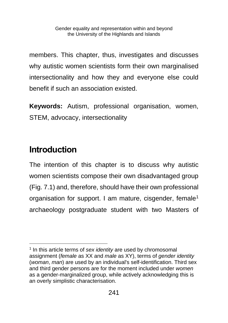members. This chapter, thus, investigates and discusses why autistic women scientists form their own marginalised intersectionality and how they and everyone else could benefit if such an association existed.

**Keywords:** Autism, professional organisation, women, STEM, advocacy, intersectionality

### **Introduction**

The intention of this chapter is to discuss why autistic women scientists compose their own disadvantaged group (Fig. 7.1) and, therefore, should have their own professional organisation for support. I am mature, cisgender, female<sup>1</sup> archaeology postgraduate student with two Masters of

<sup>1</sup> In this article terms of *sex identity* are used by chromosomal assignment (*female* as XX and *male* as XY), terms of *gender identity* (*woman*, *man*) are used by an individual's self-identification. Third sex and third gender persons are for the moment included under *women* as a gender-marginalized group, while actively acknowledging this is an overly simplistic characterisation.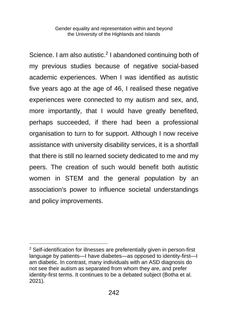Science. I am also autistic.<sup>2</sup> I abandoned continuing both of my previous studies because of negative social-based academic experiences. When I was identified as autistic five years ago at the age of 46, I realised these negative experiences were connected to my autism and sex, and, more importantly, that I would have greatly benefited, perhaps succeeded, if there had been a professional organisation to turn to for support. Although I now receive assistance with university disability services, it is a shortfall that there is still no learned society dedicated to me and my peers. The creation of such would benefit both autistic women in STEM and the general population by an association's power to influence societal understandings and policy improvements.

<sup>&</sup>lt;sup>2</sup> Self-identification for illnesses are preferentially given in person-first language by patients—I have diabetes—as opposed to identity-first—I am diabetic. In contrast, many individuals with an ASD diagnosis do not see their autism as separated from whom they are, and prefer identity-first terms. It continues to be a debated subject (Botha et al. 2021).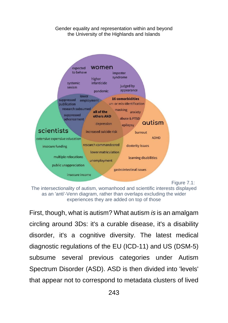

The intersectionality of autism, womanhood and scientific interests displayed as an 'anti'-Venn diagram, rather than overlaps excluding the wider experiences they are added on top of those

First, though, what is autism? What autism *is* is an amalgam circling around 3Ds: it's a curable disease, it's a disability disorder, it's a cognitive diversity. The latest medical diagnostic regulations of the EU (ICD-11) and US (DSM-5) subsume several previous categories under Autism Spectrum Disorder (ASD). ASD is then divided into 'levels' that appear not to correspond to metadata clusters of lived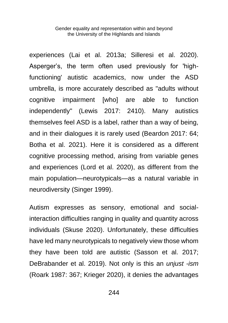experiences (Lai et al. 2013a; Silleresi et al. 2020). Asperger's, the term often used previously for 'highfunctioning' autistic academics, now under the ASD umbrella, is more accurately described as "adults without cognitive impairment [who] are able to function independently" (Lewis 2017: 2410). Many autistics themselves feel ASD is a label, rather than a way of being, and in their dialogues it is rarely used (Beardon 2017: 64; Botha et al. 2021). Here it is considered as a different cognitive processing method, arising from variable genes and experiences (Lord et al. 2020), as different from the main population—neurotypicals—as a natural variable in neurodiversity (Singer 1999).

Autism expresses as sensory, emotional and socialinteraction difficulties ranging in quality and quantity across individuals (Skuse 2020). Unfortunately, these difficulties have led many neurotypicals to negatively view those whom they have been told are autistic (Sasson et al. 2017; DeBrabander et al. 2019). Not only is this an *unjust -ism* (Roark 1987: 367; Krieger 2020), it denies the advantages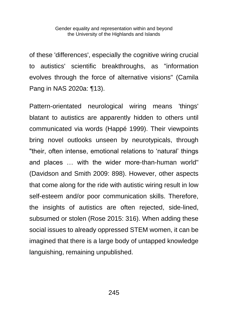of these 'differences', especially the cognitive wiring crucial to autistics' scientific breakthroughs, as "information evolves through the force of alternative visions" (Camila Pang in NAS 2020a: ¶13).

Pattern-orientated neurological wiring means 'things' blatant to autistics are apparently hidden to others until communicated via words (Happé 1999). Their viewpoints bring novel outlooks unseen by neurotypicals, through "their, often intense, emotional relations to 'natural' things and places … with the wider more-than-human world" (Davidson and Smith 2009: 898). However, other aspects that come along for the ride with autistic wiring result in low self-esteem and/or poor communication skills. Therefore, the insights of autistics are often rejected, side-lined, subsumed or stolen (Rose 2015: 316). When adding these social issues to already oppressed STEM women, it can be imagined that there is a large body of untapped knowledge languishing, remaining unpublished.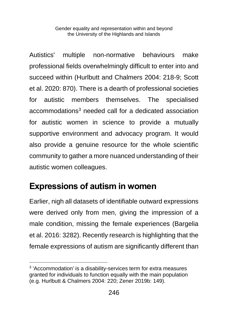Autistics' multiple non-normative behaviours make professional fields overwhelmingly difficult to enter into and succeed within (Hurlbutt and Chalmers 2004: 218-9; Scott et al. 2020: 870). There is a dearth of professional societies for autistic members themselves. The specialised accommodations<sup>3</sup> needed call for a dedicated association for autistic women in science to provide a mutually supportive environment and advocacy program. It would also provide a genuine resource for the whole scientific community to gather a more nuanced understanding of their autistic women colleagues.

### **Expressions of autism in women**

Earlier, nigh all datasets of identifiable outward expressions were derived only from men, giving the impression of a male condition, missing the female experiences (Bargelia et al. 2016: 3282). Recently research is highlighting that the female expressions of autism are significantly different than

<sup>3</sup> 'Accommodation' is a disability-services term for extra measures granted for individuals to function equally with the main population (e.g. Hurlbutt & Chalmers 2004: 220; Zener 2019b: 149).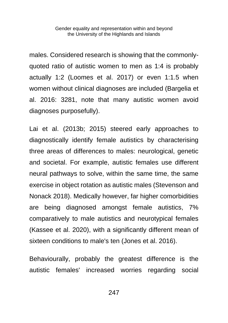males. Considered research is showing that the commonlyquoted ratio of autistic women to men as 1:4 is probably actually 1:2 (Loomes et al. 2017) or even 1:1.5 when women without clinical diagnoses are included (Bargelia et al. 2016: 3281, note that many autistic women avoid diagnoses purposefully).

Lai et al. (2013b; 2015) steered early approaches to diagnostically identify female autistics by characterising three areas of differences to males: neurological, genetic and societal. For example, autistic females use different neural pathways to solve, within the same time, the same exercise in object rotation as autistic males (Stevenson and Nonack 2018). Medically however, far higher comorbidities are being diagnosed amongst female autistics, 7% comparatively to male autistics and neurotypical females (Kassee et al. 2020), with a significantly different mean of sixteen conditions to male's ten (Jones et al. 2016).

Behaviourally, probably the greatest difference is the autistic females' increased worries regarding social

247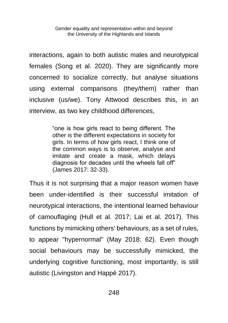interactions, again to both autistic males and neurotypical females (Song et al. 2020). They are significantly more concerned to socialize correctly, but analyse situations using external comparisons (they/them) rather than inclusive (us/we). Tony Attwood describes this, in an interview, as two key childhood differences,

> "one is how girls react to being different. The other is the different expectations in society for girls. In terms of how girls react, I think one of the common ways is to observe, analyse and imitate and create a mask, which delays diagnosis for decades until the wheels fall off" (James 2017: 32-33).

Thus it is not surprising that a major reason women have been under-identified is their successful imitation of neurotypical interactions, the intentional learned behaviour of camouflaging (Hull et al. 2017; Lai et al. 2017). This functions by mimicking others' behaviours, as a set of rules, to appear "hypernormal" (May 2018: 62). Even though social behaviours may be successfully mimicked, the underlying cognitive functioning, most importantly, is still autistic (Livingston and Happé 2017).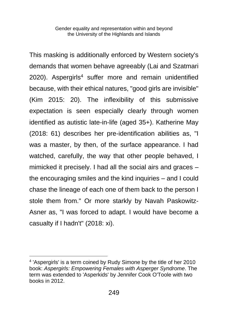This masking is additionally enforced by Western society's demands that women behave agreeably (Lai and Szatmari  $2020$ ). Aspergirls<sup>4</sup> suffer more and remain unidentified because, with their ethical natures, "good girls are invisible" (Kim 2015: 20). The inflexibility of this submissive expectation is seen especially clearly through women identified as autistic late-in-life (aged 35+). Katherine May (2018: 61) describes her pre-identification abilities as, "I was a master, by then, of the surface appearance. I had watched, carefully, the way that other people behaved, I mimicked it precisely. I had all the social airs and graces – the encouraging smiles and the kind inquiries – and I could chase the lineage of each one of them back to the person I stole them from." Or more starkly by Navah Paskowitz-Asner as, "I was forced to adapt. I would have become a casualty if I hadn't" (2018: xi).

<sup>4</sup> 'Aspergirls' is a term coined by Rudy Simone by the title of her 2010 book: *Aspergirls: Empowering Females with Asperger Syndrome*. The term was extended to 'Asperkids' by Jennifer Cook O'Toole with two books in 2012.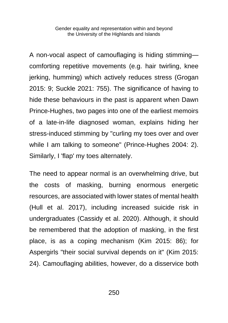A non-vocal aspect of camouflaging is hiding stimming comforting repetitive movements (e.g. hair twirling, knee jerking, humming) which actively reduces stress (Grogan 2015: 9; Suckle 2021: 755). The significance of having to hide these behaviours in the past is apparent when Dawn Prince-Hughes, two pages into one of the earliest memoirs of a late-in-life diagnosed woman, explains hiding her stress-induced stimming by "curling my toes over and over while I am talking to someone" (Prince-Hughes 2004: 2). Similarly, I 'flap' my toes alternately.

The need to appear normal is an overwhelming drive, but the costs of masking, burning enormous energetic resources, are associated with lower states of mental health (Hull et al. 2017), including increased suicide risk in undergraduates (Cassidy et al. 2020). Although, it should be remembered that the adoption of masking, in the first place, is as a coping mechanism (Kim 2015: 86); for Aspergirls "their social survival depends on it" (Kim 2015: 24). Camouflaging abilities, however, do a disservice both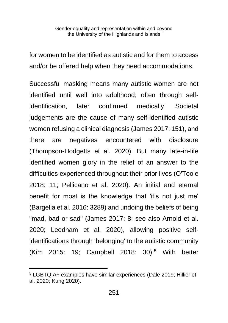for women to be identified as autistic and for them to access and/or be offered help when they need accommodations.

Successful masking means many autistic women are not identified until well into adulthood; often through selfidentification, later confirmed medically. Societal judgements are the cause of many self-identified autistic women refusing a clinical diagnosis (James 2017: 151), and there are negatives encountered with disclosure (Thompson-Hodgetts et al. 2020). But many late-in-life identified women glory in the relief of an answer to the difficulties experienced throughout their prior lives (O'Toole 2018: 11; Pellicano et al. 2020). An initial and eternal benefit for most is the knowledge that 'it's not just me' (Bargelia et al. 2016: 3289) and undoing the beliefs of being "mad, bad or sad" (James 2017: 8; see also Arnold et al. 2020; Leedham et al. 2020), allowing positive selfidentifications through 'belonging' to the autistic community (Kim 2015: 19; Campbell 2018: 30).<sup>5</sup> With better

<sup>5</sup> LGBTQIA+ examples have similar experiences (Dale 2019; Hillier et al. 2020; Kung 2020).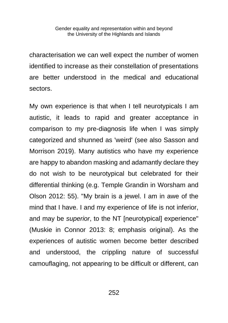characterisation we can well expect the number of women identified to increase as their constellation of presentations are better understood in the medical and educational sectors.

My own experience is that when I tell neurotypicals I am autistic, it leads to rapid and greater acceptance in comparison to my pre-diagnosis life when I was simply categorized and shunned as 'weird' (see also Sasson and Morrison 2019). Many autistics who have my experience are happy to abandon masking and adamantly declare they do not wish to be neurotypical but celebrated for their differential thinking (e.g. Temple Grandin in Worsham and Olson 2012: 55). "My brain is a jewel. I am in awe of the mind that I have. I and my experience of life is not inferior, and may be *superior*, to the NT [neurotypical] experience" (Muskie in Connor 2013: 8; emphasis original). As the experiences of autistic women become better described and understood, the crippling nature of successful camouflaging, not appearing to be difficult or different, can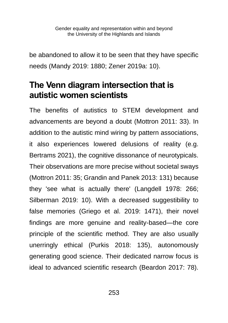be abandoned to allow it to be seen that they have specific needs (Mandy 2019: 1880; Zener 2019a: 10).

### **The Venn diagram intersection that is autistic women scientists**

The benefits of autistics to STEM development and advancements are beyond a doubt (Mottron 2011: 33). In addition to the autistic mind wiring by pattern associations, it also experiences lowered delusions of reality (e.g. Bertrams 2021), the cognitive dissonance of neurotypicals. Their observations are more precise without societal sways (Mottron 2011: 35; Grandin and Panek 2013: 131) because they 'see what is actually there' (Langdell 1978: 266; Silberman 2019: 10). With a decreased suggestibility to false memories (Griego et al. 2019: 1471), their novel findings are more genuine and reality-based—the core principle of the scientific method. They are also usually unerringly ethical (Purkis 2018: 135), autonomously generating good science. Their dedicated narrow focus is ideal to advanced scientific research (Beardon 2017: 78).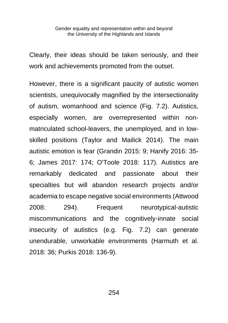Clearly, their ideas should be taken seriously, and their work and achievements promoted from the outset.

However, there is a significant paucity of autistic women scientists, unequivocally magnified by the intersectionality of autism, womanhood and science (Fig. 7.2). Autistics, especially women, are overrepresented within nonmatriculated school-leavers, the unemployed, and in lowskilled positions (Taylor and Mailick 2014). The main autistic emotion is fear (Grandin 2015: 9; Hanify 2016: 35- 6; James 2017: 174; O'Toole 2018: 117). Autistics are remarkably dedicated and passionate about their specialties but will abandon research projects and/or academia to escape negative social environments (Attwood 2008: 294). Frequent neurotypical-autistic miscommunications and the cognitively-innate social insecurity of autistics (e.g. Fig. 7.2) can generate unendurable, unworkable environments (Harmuth et al. 2018: 36; Purkis 2018: 136-9).

254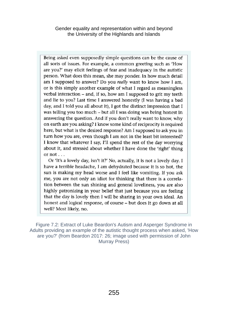Being asked even supposedly simple questions can be the cause of all sorts of issues. For example, a common greeting such as 'How are you?' may elicit feelings of fear and inadequacy in the autistic person. What does this mean, she may ponder. In how much detail am I supposed to answer? Do you really want to know how I am, or is this simply another example of what I regard as meaningless verbal interaction – and, if so, how am I supposed to grit my teeth and lie to you? Last time I answered honestly (I was having a bad day, and I told you all about it), I got the distinct impression that I was telling you too much - but all I was doing was being honest in answering the question. And if you don't really want to know, why on earth are you asking? I know some kind of reciprocity is required here, but what is the desired response? Am I supposed to ask you in turn how you are, even though I am not in the least bit interested? I know that whatever I say, I'll spend the rest of the day worrying about it, and stressed about whether I have done the 'right' thing or  $not \dots$ 

Or 'It's a lovely day, isn't it?' No, actually, it is not a lovely day. I have a terrible headache, I am dehydrated because it is so hot, the sun is making my head worse and I feel like vomiting. If you ask me, you are not only an idiot for thinking that there is a correlation between the sun shining and general loveliness, you are also highly patronizing in your belief that just because you are feeling that the day is lovely then I will be sharing in your own ideal. An honest and logical response, of course - but does it go down at all well? Most likely, no.

Figure 7.2: Extract of Luke Beardon's Autism and Asperger Syndrome in Adults providing an example of the autistic thought process when asked, 'How are you?' (from Beardon 2017: 26; image used with permission of John Murray Press)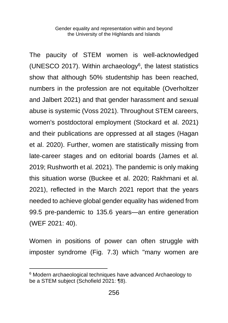The paucity of STEM women is well-acknowledged (UNESCO 2017). Within archaeology $6$ , the latest statistics show that although 50% studentship has been reached, numbers in the profession are not equitable (Overholtzer and Jalbert 2021) and that gender harassment and sexual abuse is systemic (Voss 2021). Throughout STEM careers, women's postdoctoral employment (Stockard et al. 2021) and their publications are oppressed at all stages (Hagan et al. 2020). Further, women are statistically missing from late-career stages and on editorial boards (James et al. 2019; Rushworth et al. 2021). The pandemic is only making this situation worse (Buckee et al. 2020; Rakhmani et al. 2021), reflected in the March 2021 report that the years needed to achieve global gender equality has widened from 99.5 pre-pandemic to 135.6 years—an entire generation (WEF 2021: 40).

Women in positions of power can often struggle with imposter syndrome (Fig. 7.3) which "many women are

<sup>&</sup>lt;sup>6</sup> Modern archaeological techniques have advanced Archaeology to be a STEM subject (Schofield 2021: ¶8).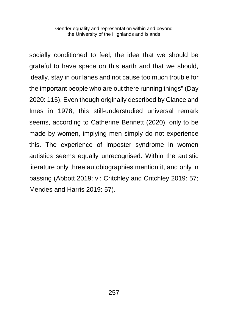socially conditioned to feel; the idea that we should be grateful to have space on this earth and that we should, ideally, stay in our lanes and not cause too much trouble for the important people who are out there running things" (Day 2020: 115). Even though originally described by Clance and Imes in 1978, this still-understudied universal remark seems, according to Catherine Bennett (2020), only to be made by women, implying men simply do not experience this. The experience of imposter syndrome in women autistics seems equally unrecognised. Within the autistic literature only three autobiographies mention it, and only in passing (Abbott 2019: vi; Critchley and Critchley 2019: 57; Mendes and Harris 2019: 57).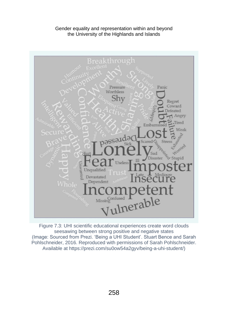

Figure 7.3: UHI scientific educational experiences create word clouds seesawing between strong positive and negative states (Image: Sourced from Prezi. 'Being a UHI Student'. Stuart Bence and Sarah Pohlschneider, 2016. Reproduced with permissions of Sarah Pohlschneider. Available at [https://prezi.com/su0ow54a2gyv/being-a-uhi-student/\)](https://prezi.com/su0ow54a2gyv/being-a-uhi-student/)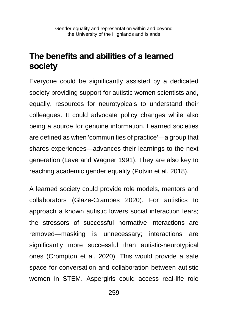#### **The benefits and abilities of a learned society**

Everyone could be significantly assisted by a dedicated society providing support for autistic women scientists and, equally, resources for neurotypicals to understand their colleagues. It could advocate policy changes while also being a source for genuine information. Learned societies are defined as when 'communities of practice'—a group that shares experiences—advances their learnings to the next generation (Lave and Wagner 1991). They are also key to reaching academic gender equality (Potvin et al. 2018).

A learned society could provide role models, mentors and collaborators (Glaze-Crampes 2020). For autistics to approach a known autistic lowers social interaction fears; the stressors of successful normative interactions are removed—masking is unnecessary; interactions are significantly more successful than autistic-neurotypical ones (Crompton et al. 2020). This would provide a safe space for conversation and collaboration between autistic women in STEM. Aspergirls could access real-life role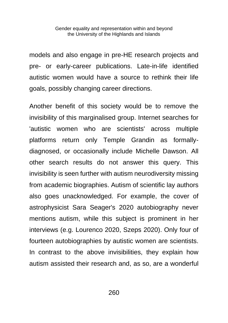models and also engage in pre-HE research projects and pre- or early-career publications. Late-in-life identified autistic women would have a source to rethink their life goals, possibly changing career directions.

Another benefit of this society would be to remove the invisibility of this marginalised group. Internet searches for 'autistic women who are scientists' across multiple platforms return only Temple Grandin as formallydiagnosed, or occasionally include Michelle Dawson. All other search results do not answer this query. This invisibility is seen further with autism neurodiversity missing from academic biographies. Autism of scientific lay authors also goes unacknowledged. For example, the cover of astrophysicist Sara Seager's 2020 autobiography never mentions autism, while this subject is prominent in her interviews (e.g. Lourenco 2020, Szeps 2020). Only four of fourteen autobiographies by autistic women are scientists. In contrast to the above invisibilities, they explain how autism assisted their research and, as so, are a wonderful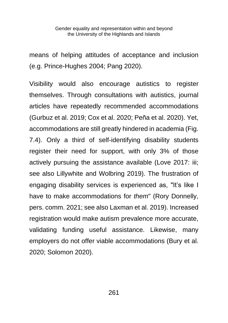means of helping attitudes of acceptance and inclusion (e.g. Prince-Hughes 2004; Pang 2020).

Visibility would also encourage autistics to register themselves. Through consultations with autistics, journal articles have repeatedly recommended accommodations (Gurbuz et al. 2019; Cox et al. 2020; Peña et al. 2020). Yet, accommodations are still greatly hindered in academia (Fig. 7.4). Only a third of self-identifying disability students register their need for support, with only 3% of those actively pursuing the assistance available (Love 2017: iii; see also Lillywhite and Wolbring 2019). The frustration of engaging disability services is experienced as, "It's like I have to make accommodations for *them*" (Rory Donnelly, pers. comm. 2021; see also Laxman et al. 2019). Increased registration would make autism prevalence more accurate, validating funding useful assistance. Likewise, many employers do not offer viable accommodations (Bury et al. 2020; Solomon 2020).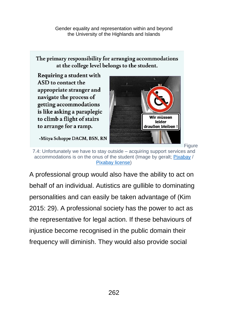The primary responsibility for arranging accommodations at the college level belongs to the student.

Requiring a student with ASD to contact the appropriate stranger and navigate the process of getting accommodations is like asking a paraplegic to climb a flight of stairs to arrange for a ramp.

-Mitya Schoppe DACM, BSN, RN



**Figure** 

7.4: Unfortunately we have to stay outside – acquiring support services and accommodations is on the onus of the student (Image by geralt; [Pixabay](https://pixabay.com/photos/stairs-shield-ban-obstacle-427700/) / [Pixabay license\)](https://pixabay.com/service/license/)

A professional group would also have the ability to act on behalf of an individual. Autistics are gullible to dominating personalities and can easily be taken advantage of (Kim 2015: 29). A professional society has the power to act as the representative for legal action. If these behaviours of injustice become recognised in the public domain their frequency will diminish. They would also provide social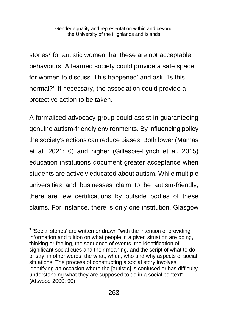stories<sup>7</sup> for autistic women that these are not acceptable behaviours. A learned society could provide a safe space for women to discuss 'This happened' and ask, 'Is this normal?'. If necessary, the association could provide a protective action to be taken.

A formalised advocacy group could assist in guaranteeing genuine autism-friendly environments. By influencing policy the society's actions can reduce biases. Both lower (Mamas et al. 2021: 6) and higher (Gillespie-Lynch et al. 2015) education institutions document greater acceptance when students are actively educated about autism. While multiple universities and businesses claim to be autism-friendly, there are few certifications by outside bodies of these claims. For instance, there is only one institution, Glasgow

<sup>&</sup>lt;sup>7</sup> 'Social stories' are written or drawn "with the intention of providing information and tuition on what people in a given situation are doing, thinking or feeling, the sequence of events, the identification of significant social cues and their meaning, and the script of what to do or say; in other words, the what, when, who and why aspects of social situations. The process of constructing a social story involves identifying an occasion where the [autistic] is confused or has difficulty understanding what they are supposed to do in a social context" (Attwood 2000: 90).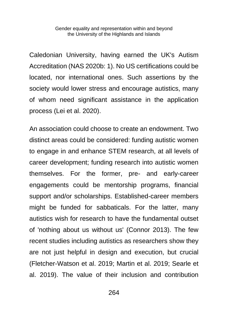Caledonian University, having earned the UK's Autism Accreditation (NAS 2020b: 1). No US certifications could be located, nor international ones. Such assertions by the society would lower stress and encourage autistics, many of whom need significant assistance in the application process (Lei et al. 2020).

An association could choose to create an endowment. Two distinct areas could be considered: funding autistic women to engage in and enhance STEM research, at all levels of career development; funding research into autistic women themselves. For the former, pre- and early-career engagements could be mentorship programs, financial support and/or scholarships. Established-career members might be funded for sabbaticals. For the latter, many autistics wish for research to have the fundamental outset of 'nothing about us without us' (Connor 2013). The few recent studies including autistics as researchers show they are not just helpful in design and execution, but crucial (Fletcher-Watson et al. 2019; Martin et al. 2019; Searle et al. 2019). The value of their inclusion and contribution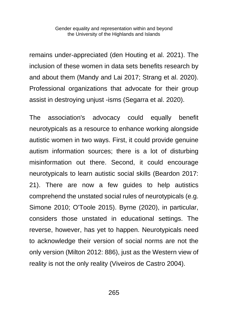remains under-appreciated (den Houting et al. 2021). The inclusion of these women in data sets benefits research by and about them (Mandy and Lai 2017; Strang et al. 2020). Professional organizations that advocate for their group assist in destroying unjust -isms (Segarra et al. 2020).

The association's advocacy could equally benefit neurotypicals as a resource to enhance working alongside autistic women in two ways. First, it could provide genuine autism information sources; there is a lot of disturbing misinformation out there. Second, it could encourage neurotypicals to learn autistic social skills (Beardon 2017: 21). There are now a few guides to help autistics comprehend the unstated social rules of neurotypicals (e.g. Simone 2010; O'Toole 2015). Byrne (2020), in particular, considers those unstated in educational settings. The reverse, however, has yet to happen. Neurotypicals need to acknowledge their version of social norms are not the only version (Milton 2012: 886), just as the Western view of reality is not the only reality (Viveiros de Castro 2004).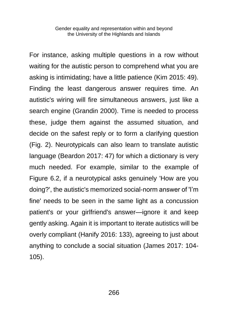For instance, asking multiple questions in a row without waiting for the autistic person to comprehend what you are asking is intimidating; have a little patience (Kim 2015: 49). Finding the least dangerous answer requires time. An autistic's wiring will fire simultaneous answers, just like a search engine (Grandin 2000). Time is needed to process these, judge them against the assumed situation, and decide on the safest reply or to form a clarifying question (Fig. 2). Neurotypicals can also learn to translate autistic language (Beardon 2017: 47) for which a dictionary is very much needed. For example, similar to the example of Figure 6.2, if a neurotypical asks genuinely 'How are you doing?', the autistic's memorized social-norm answer of 'I'm fine' needs to be seen in the same light as a concussion patient's or your girlfriend's answer—ignore it and keep gently asking. Again it is important to iterate autistics will be overly compliant (Hanify 2016: 133), agreeing to just about anything to conclude a social situation (James 2017: 104- 105).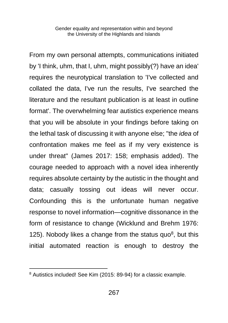From my own personal attempts, communications initiated by 'I think, uhm, that I, uhm, might possibly(?) have an idea' requires the neurotypical translation to 'I've collected and collated the data, I've run the results, I've searched the literature and the resultant publication is at least in outline format'. The overwhelming fear autistics experience means that you will be absolute in your findings before taking on the lethal task of discussing it with anyone else; "the *idea* of confrontation makes me feel as if my very existence is under threat" (James 2017: 158; emphasis added). The courage needed to approach with a novel idea inherently requires absolute certainty by the autistic in the thought and data; casually tossing out ideas will never occur. Confounding this is the unfortunate human negative response to novel information—cognitive dissonance in the form of resistance to change (Wicklund and Brehm 1976: 125). Nobody likes a change from the status quo $<sup>8</sup>$ , but this</sup> initial automated reaction is enough to destroy the

<sup>&</sup>lt;sup>8</sup> Autistics included! See Kim (2015: 89-94) for a classic example.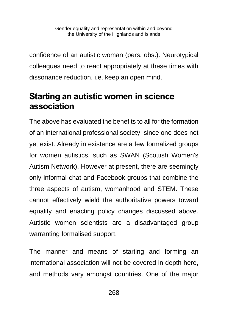confidence of an autistic woman (pers. obs.). Neurotypical colleagues need to react appropriately at these times with dissonance reduction, i.e. keep an open mind.

## **Starting an autistic women in science association**

The above has evaluated the benefits to all for the formation of an international professional society, since one does not yet exist. Already in existence are a few formalized groups for women autistics, such as SWAN (Scottish Women's Autism Network). However at present, there are seemingly only informal chat and Facebook groups that combine the three aspects of autism, womanhood and STEM. These cannot effectively wield the authoritative powers toward equality and enacting policy changes discussed above. Autistic women scientists are a disadvantaged group warranting formalised support.

The manner and means of starting and forming an international association will not be covered in depth here, and methods vary amongst countries. One of the major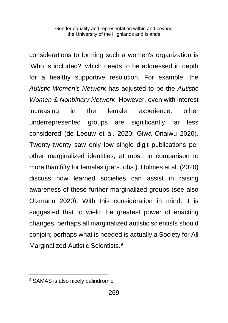considerations to forming such a women's organization is 'Who is included?' which needs to be addressed in depth for a healthy supportive resolution. For example, the *Autistic Women's Network* has adjusted to be the *Autistic Women & Nonbinary Network*. However, even with interest increasing in the female experience, other underrepresented groups are significantly far less considered (de Leeuw et al. 2020; Giwa Onaiwu 2020). Twenty-twenty saw only low single digit publications per other marginalized identities, at most, in comparison to more than fifty for females (pers. obs.). Holmes et al. (2020) discuss how learned societies can assist in raising awareness of these further marginalized groups (see also Olzmann 2020). With this consideration in mind, it is suggested that to wield the greatest power of enacting changes, perhaps all marginalized autistic scientists should conjoin; perhaps what is needed is actually a Society for All Marginalized Autistic Scientists.<sup>9</sup>

<sup>&</sup>lt;sup>9</sup> SAMAS is also nicely palindromic.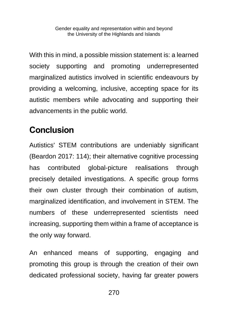With this in mind, a possible mission statement is: a learned society supporting and promoting underrepresented marginalized autistics involved in scientific endeavours by providing a welcoming, inclusive, accepting space for its autistic members while advocating and supporting their advancements in the public world.

## **Conclusion**

Autistics' STEM contributions are undeniably significant (Beardon 2017: 114); their alternative cognitive processing has contributed global-picture realisations through precisely detailed investigations. A specific group forms their own cluster through their combination of autism, marginalized identification, and involvement in STEM. The numbers of these underrepresented scientists need increasing, supporting them within a frame of acceptance is the only way forward.

An enhanced means of supporting, engaging and promoting this group is through the creation of their own dedicated professional society, having far greater powers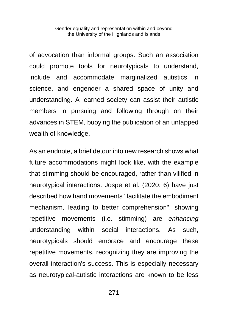of advocation than informal groups. Such an association could promote tools for neurotypicals to understand, include and accommodate marginalized autistics in science, and engender a shared space of unity and understanding. A learned society can assist their autistic members in pursuing and following through on their advances in STEM, buoying the publication of an untapped wealth of knowledge.

As an endnote, a brief detour into new research shows what future accommodations might look like, with the example that stimming should be encouraged, rather than vilified in neurotypical interactions. Jospe et al. (2020: 6) have just described how hand movements "facilitate the embodiment mechanism, leading to better comprehension", showing repetitive movements (i.e. stimming) are *enhancing* understanding within social interactions. As such, neurotypicals should embrace and encourage these repetitive movements, recognizing they are improving the overall interaction's success. This is especially necessary as neurotypical-autistic interactions are known to be less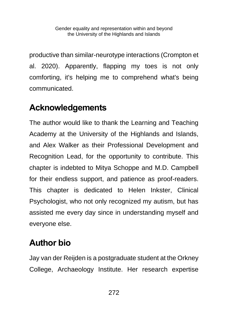productive than similar-neurotype interactions (Crompton et al. 2020). Apparently, flapping my toes is not only comforting, it's helping me to comprehend what's being communicated.

## **Acknowledgements**

The author would like to thank the Learning and Teaching Academy at the University of the Highlands and Islands, and Alex Walker as their Professional Development and Recognition Lead, for the opportunity to contribute. This chapter is indebted to Mitya Schoppe and M.D. Campbell for their endless support, and patience as proof-readers. This chapter is dedicated to Helen Inkster, Clinical Psychologist, who not only recognized my autism, but has assisted me every day since in understanding myself and everyone else.

## **Author bio**

Jay van der Reijden is a postgraduate student at the Orkney College, Archaeology Institute. Her research expertise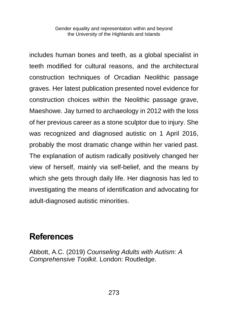includes human bones and teeth, as a global specialist in teeth modified for cultural reasons, and the architectural construction techniques of Orcadian Neolithic passage graves. Her latest publication presented novel evidence for construction choices within the Neolithic passage grave, Maeshowe. Jay turned to archaeology in 2012 with the loss of her previous career as a stone sculptor due to injury. She was recognized and diagnosed autistic on 1 April 2016, probably the most dramatic change within her varied past. The explanation of autism radically positively changed her view of herself, mainly via self-belief, and the means by which she gets through daily life. Her diagnosis has led to investigating the means of identification and advocating for adult-diagnosed autistic minorities.

#### **References**

Abbott, A.C. (2019) *Counseling Adults with Autism: A Comprehensive Toolkit*. London: Routledge.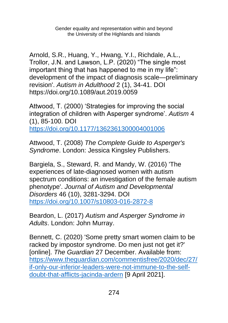Arnold, S.R., Huang, Y., Hwang, Y.I., Richdale, A.L., Trollor, J.N. and Lawson, L.P. (2020) "The single most important thing that has happened to me in my life": development of the impact of diagnosis scale—preliminary revision'. *Autism in Adulthood* 2 (1), 34-41. DOI <https://doi.org/10.1089/aut.2019.0059>

Attwood, T. (2000) 'Strategies for improving the social integration of children with Asperger syndrome'. *Autism* 4 (1), 85-100. DOI <https://doi.org/10.1177/1362361300004001006>

Attwood, T. (2008) *The Complete Guide to Asperger's Syndrome*. London: Jessica Kingsley Publishers.

Bargiela, S., Steward, R. and Mandy, W. (2016) 'The experiences of late-diagnosed women with autism spectrum conditions: an investigation of the female autism phenotype'. *Journal of Autism and Developmental Disorders* 46 (10), 3281-3294. DOI <https://doi.org/10.1007/s10803-016-2872-8>

Beardon, L. (2017) *Autism and Asperger Syndrome in Adults*. London: John Murray.

Bennett, C. (2020) 'Some pretty smart women claim to be racked by impostor syndrome. Do men just not get it?' [online]. *The Guardian* 27 December. Available from: [https://www.theguardian.com/commentisfree/2020/dec/27/](https://www.theguardian.com/commentisfree/2020/dec/27/if-only-our-inferior-leaders-were-not-immune-to-the-self-doubt-that-afflicts-jacinda-ardern) [if-only-our-inferior-leaders-were-not-immune-to-the-self](https://www.theguardian.com/commentisfree/2020/dec/27/if-only-our-inferior-leaders-were-not-immune-to-the-self-doubt-that-afflicts-jacinda-ardern)[doubt-that-afflicts-jacinda-ardern](https://www.theguardian.com/commentisfree/2020/dec/27/if-only-our-inferior-leaders-were-not-immune-to-the-self-doubt-that-afflicts-jacinda-ardern) [9 April 2021].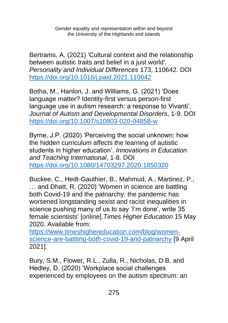Bertrams, A. (2021) 'Cultural context and the relationship between autistic traits and belief in a just world'. *Personality and Individual Differences* 173, 110642. DOI <https://doi.org/10.1016/j.paid.2021.110642>

Botha, M., Hanlon, J. and Williams, G. (2021) 'Does language matter? Identity-first versus person-first language use in autism research: a response to Vivanti'. *Journal of Autism and Developmental Disorders*, 1-9. DOI <https://doi.org/10.1007/s10803-020-04858-w>

Byrne, J.P. (2020) 'Perceiving the social unknown: how the hidden curriculum affects the learning of autistic students in higher education'. *Innovations in Education and Teaching International*, 1-8. DOI <https://doi.org/10.1080/14703297.2020.1850320>

Buckee, C., Hedt-Gauthier, B., Mahmud, A., Martinez, P., … and Dhatt, R. (2020) 'Women in science are battling both Covid-19 and the patriarchy: the pandemic has worsened longstanding sexist and racist inequalities in science pushing many of us to say 'I'm done', write 35 female scientists' [online].*Times Higher Education* 15 May 2020. Available from:

[https://www.timeshighereducation.com/blog/women](https://www.timeshighereducation.com/blog/women-science-are-battling-both-covid-19-and-patriarchy)[science-are-battling-both-covid-19-and-patriarchy](https://www.timeshighereducation.com/blog/women-science-are-battling-both-covid-19-and-patriarchy) [9 April 2021].

Bury, S.M., Flower, R.L., Zulla, R., Nicholas, D.B. and Hedley, D. (2020) 'Workplace social challenges experienced by employees on the autism spectrum: an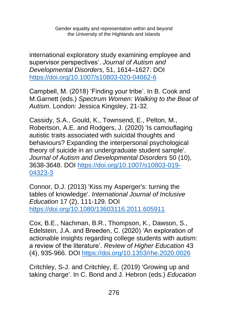international exploratory study examining employee and supervisor perspectives'. *Journal of Autism and Developmental Disorders*, 51, 1614–1627. DOI <https://doi.org/10.1007/s10803-020-04662-6>

Campbell, M. (2018) 'Finding your tribe'. In B. Cook and M.Garnett (eds.) *Spectrum Women: Walking to the Beat of Autism*. London: Jessica Kingsley, 21-32.

Cassidy, S.A., Gould, K., Townsend, E., Pelton, M., Robertson, A.E. and Rodgers, J. (2020) 'Is camouflaging autistic traits associated with suicidal thoughts and behaviours? Expanding the interpersonal psychological theory of suicide in an undergraduate student sample'. *Journal of Autism and Developmental Disorders* 50 (10), 3638-3648. DOI [https://doi.org/10.1007/s10803-019-](https://doi.org/10.1007/s10803-019-04323-3) [04323-3](https://doi.org/10.1007/s10803-019-04323-3)

Connor, D.J. (2013) 'Kiss my Asperger's: turning the tables of knowledge'. *International Journal of Inclusive Education* 17 (2), 111-129. DOI <https://doi.org/10.1080/13603116.2011.605911>

Cox, B.E., Nachman, B.R., Thompson, K., Dawson, S., Edelstein, J.A. and Breeden, C. (2020) 'An exploration of actionable insights regarding college students with autism: a review of the literature'. *Review of Higher Education* 43 (4), 935-966. DOI<https://doi.org/10.1353/rhe.2020.0026>

Critchley, S-J. and Critchley, E. (2019) 'Growing up and taking charge'. In C. Bond and J. Hebron (eds.) *Education*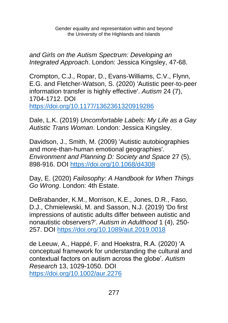*and Girls on the Autism Spectrum: Developing an Integrated Approach*. London: Jessica Kingsley, 47-68.

Crompton, C.J., Ropar, D., Evans-Williams, C.V., Flynn, E.G. and Fletcher-Watson, S. (2020) 'Autistic peer-to-peer information transfer is highly effective'. *Autism* 24 (7), 1704-1712. DOI

<https://doi.org/10.1177/1362361320919286>

Dale, L.K. (2019) *Uncomfortable Labels: My Life as a Gay Autistic Trans Woman*. London: Jessica Kingsley.

Davidson, J., Smith, M. (2009) 'Autistic autobiographies and more-than-human emotional geographies'. *Environment and Planning D: Society and Space* 27 (5), 898-916. DOI<https://doi.org/10.1068/d4308>

Day, E. (2020) *Failosophy: A Handbook for When Things Go Wrong*. London: 4th Estate.

DeBrabander, K.M., Morrison, K.E., Jones, D.R., Faso, D.J., Chmielewski, M. and Sasson, N.J. (2019) 'Do first impressions of autistic adults differ between autistic and nonautistic observers?'. *Autism in Adulthood* 1 (4), 250- 257. DOI<https://doi.org/10.1089/aut.2019.0018>

de Leeuw, A., Happé, F. and Hoekstra, R.A. (2020) 'A conceptual framework for understanding the cultural and contextual factors on autism across the globe'. *Autism Research* 13, 1029-1050. DOI <https://doi.org/10.1002/aur.2276>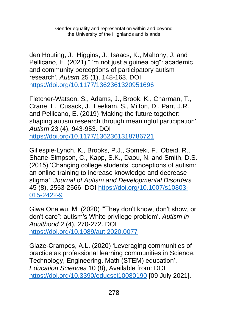den Houting, J., Higgins, J., Isaacs, K., Mahony, J. and Pellicano, E. (2021) "I'm not just a guinea pig": academic and community perceptions of participatory autism research'. *Autism* 25 (1), 148-163. DOI <https://doi.org/10.1177/1362361320951696>

Fletcher-Watson, S., Adams, J., Brook, K., Charman, T., Crane, L., Cusack, J., Leekam, S., Milton, D., Parr, J.R. and Pellicano, E. (2019) 'Making the future together: shaping autism research through meaningful participation'. *Autism* 23 (4), 943-953. DOI <https://doi.org/10.1177/1362361318786721>

Gillespie-Lynch, K., Brooks, P.J., Someki, F., Obeid, R., Shane-Simpson, C., Kapp, S.K., Daou, N. and Smith, D.S. (2015) 'Changing college students' conceptions of autism: an online training to increase knowledge and decrease stigma'. *Journal of Autism and Developmental Disorders* 45 (8), 2553-2566. DOI [https://doi.org/10.1007/s10803-](https://doi.org/10.1007/s10803-015-2422-9) [015-2422-9](https://doi.org/10.1007/s10803-015-2422-9)

Giwa Onaiwu, M. (2020) '"They don't know, don't show, or don't care": autism's White privilege problem'. *Autism in Adulthood* 2 (4), 270-272. DOI <https://doi.org/10.1089/aut.2020.0077>

Glaze-Crampes, A.L. (2020) 'Leveraging communities of practice as professional learning communities in Science, Technology, Engineering, Math (STEM) education'. *Education Sciences* 10 (8), Available from: DOI <https://doi.org/10.3390/educsci10080190> [09 July 2021].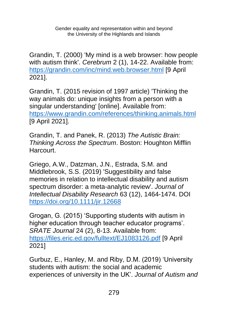Grandin, T. (2000) 'My mind is a web browser: how people with autism think'. *Cerebrum* 2 (1), 14-22. Available from: <https://grandin.com/inc/mind.web.browser.html> [9 April 2021].

Grandin, T. (2015 revision of 1997 article) 'Thinking the way animals do: unique insights from a person with a singular understanding' [online]. Available from: <https://www.grandin.com/references/thinking.animals.html> [9 April 2021].

Grandin, T. and Panek, R. (2013) *The Autistic Brain: Thinking Across the Spectrum*. Boston: Houghton Mifflin Harcourt.

Griego, A.W., Datzman, J.N., Estrada, S.M. and Middlebrook, S.S. (2019) 'Suggestibility and false memories in relation to intellectual disability and autism spectrum disorder: a meta-analytic review'. *Journal of Intellectual Disability Research* 63 (12), 1464-1474. DOI <https://doi.org/10.1111/jir.12668>

Grogan, G. (2015) 'Supporting students with autism in higher education through teacher educator programs'. *SRATE Journal* 24 (2), 8-13. Available from: <https://files.eric.ed.gov/fulltext/EJ1083126.pdf> [9 April 2021]

Gurbuz, E., Hanley, M. and Riby, D.M. (2019) 'University students with autism: the social and academic experiences of university in the UK'. *Journal of Autism and*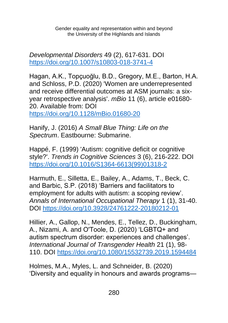*Developmental Disorders* 49 (2), 617-631. DOI <https://doi.org/10.1007/s10803-018-3741-4>

Hagan, A.K., Topçuoğlu, B.D., Gregory, M.E., Barton, H.A. and Schloss, P.D. (2020) 'Women are underrepresented and receive differential outcomes at ASM journals: a sixyear retrospective analysis'. *mBio* 11 (6), article e01680- 20. Available from: DOI <https://doi.org/10.1128/mBio.01680-20>

Hanify, J. (2016) *A Small Blue Thing: Life on the Spectrum*. Eastbourne: Submarine.

Happé, F. (1999) 'Autism: cognitive deficit or cognitive style?'. *Trends in Cognitive Sciences* 3 (6), 216-222. DOI [https://doi.org/10.1016/S1364-6613\(99\)01318-2](https://doi.org/10.1016/S1364-6613(99)01318-2)

Harmuth, E., Silletta, E., Bailey, A., Adams, T., Beck, C. and Barbic, S.P. (2018) 'Barriers and facilitators to employment for adults with autism: a scoping review'. *Annals of International Occupational Therapy* 1 (1), 31-40. DOI<https://doi.org/10.3928/24761222-20180212-01>

Hillier, A., Gallop, N., Mendes, E., Tellez, D., Buckingham, A., Nizami, A. and O'Toole, D. (2020) 'LGBTQ+ and autism spectrum disorder: experiences and challenges'. *International Journal of Transgender Health* 21 (1), 98- 110. DOI<https://doi.org/10.1080/15532739.2019.1594484>

Holmes, M.A., Myles, L. and Schneider, B. (2020) 'Diversity and equality in honours and awards programs—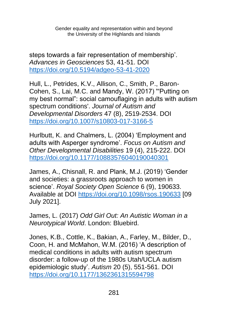steps towards a fair representation of membership'. *Advances in Geosciences* 53, 41-51. DOI <https://doi.org/10.5194/adgeo-53-41-2020>

Hull, L., Petrides, K.V., Allison, C., Smith, P., Baron-Cohen, S., Lai, M.C. and Mandy, W. (2017) '"Putting on my best normal": social camouflaging in adults with autism spectrum conditions'. *Journal of Autism and Developmental Disorders* 47 (8), 2519-2534. DOI <https://doi.org/10.1007/s10803-017-3166-5>

Hurlbutt, K. and Chalmers, L. (2004) 'Employment and adults with Asperger syndrome'. *Focus on Autism and Other Developmental Disabilities* 19 (4), 215-222. DOI <https://doi.org/10.1177/10883576040190040301>

James, A., Chisnall, R. and Plank, M.J. (2019) 'Gender and societies: a grassroots approach to women in science'. *Royal Society Open Science* 6 (9), 190633. Available at DOI<https://doi.org/10.1098/rsos.190633> [09 July 2021].

James, L. (2017) *Odd Girl Out: An Autistic Woman in a Neurotypical World*. London: Bluebird.

Jones, K.B., Cottle, K., Bakian, A., Farley, M., Bilder, D., Coon, H. and McMahon, W.M. (2016) 'A description of medical conditions in adults with autism spectrum disorder: a follow-up of the 1980s Utah/UCLA autism epidemiologic study'. *Autism* 20 (5), 551-561. DOI <https://doi.org/10.1177/1362361315594798>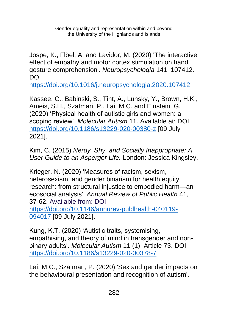Jospe, K., Flöel, A. and Lavidor, M. (2020) 'The interactive effect of empathy and motor cortex stimulation on hand gesture comprehension'. *Neuropsychologia* 141, 107412. DOI

<https://doi.org/10.1016/j.neuropsychologia.2020.107412>

Kassee, C., Babinski, S., Tint, A., Lunsky, Y., Brown, H.K., Ameis, S.H., Szatmari, P., Lai, M.C. and Einstein, G. (2020) 'Physical health of autistic girls and women: a scoping review'. *Molecular Autism* 11. Available at: DOI <https://doi.org/10.1186/s13229-020-00380-z> [09 July 2021].

Kim, C. (2015) *Nerdy, Shy, and Socially Inappropriate: A User Guide to an Asperger Life.* London: Jessica Kingsley.

Krieger, N. (2020) 'Measures of racism, sexism, heterosexism, and gender binarism for health equity research: from structural injustice to embodied harm—an ecosocial analysis'. *Annual Review of Public Health* 41, 37-62. Available from: DOI [https://doi.org/10.1146/annurev-publhealth-040119-](https://doi.org/10.1146/annurev-publhealth-040119-094017) [094017](https://doi.org/10.1146/annurev-publhealth-040119-094017) [09 July 2021].

Kung, K.T. (2020) 'Autistic traits, systemising, empathising, and theory of mind in transgender and nonbinary adults'. *Molecular Autism* 11 (1), Article 73. DOI <https://doi.org/10.1186/s13229-020-00378-7>

Lai, M.C., Szatmari, P. (2020) 'Sex and gender impacts on the behavioural presentation and recognition of autism'.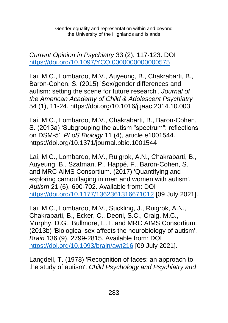*Current Opinion in Psychiatry* 33 (2), 117-123. DOI <https://doi.org/10.1097/YCO.0000000000000575>

Lai, M.C., Lombardo, M.V., Auyeung, B., Chakrabarti, B., Baron-Cohen, S. (2015) 'Sex/gender differences and autism: setting the scene for future research'. *Journal of the American Academy of Child & Adolescent Psychiatry* 54 (1), 11-24. https://doi.org/10.1016/j.jaac.2014.10.003

Lai, M.C., Lombardo, M.V., Chakrabarti, B., Baron-Cohen, S. (2013a) 'Subgrouping the autism "spectrum": reflections on DSM-5'. *PLoS Biology* 11 (4), article e1001544. https://doi.org/10.1371/journal.pbio.1001544

Lai, M.C., Lombardo, M.V., Ruigrok, A.N., Chakrabarti, B., Auyeung, B., Szatmari, P., Happé, F., Baron-Cohen, S. and MRC AIMS Consortium. (2017) 'Quantifying and exploring camouflaging in men and women with autism'. *Autism* 21 (6), 690-702. Available from: DOI <https://doi.org/10.1177/1362361316671012> [09 July 2021].

Lai, M.C., Lombardo, M.V., Suckling, J., Ruigrok, A.N., Chakrabarti, B., Ecker, C., Deoni, S.C., Craig, M.C., Murphy, D.G., Bullmore, E.T. and MRC AIMS Consortium. (2013b) 'Biological sex affects the neurobiology of autism'. *Brain* 136 (9), 2799-2815. Available from: DOI <https://doi.org/10.1093/brain/awt216> [09 July 2021].

Langdell, T. (1978) 'Recognition of faces: an approach to the study of autism'. *Child Psychology and Psychiatry and*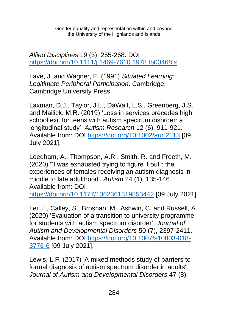*Allied Disciplines* 19 (3), 255-268. DOI <https://doi.org/10.1111/j.1469-7610.1978.tb00468.x>

Lave, J. and Wagner, E. (1991) *Situated Learning: Legitimate Peripheral Participation*. Cambridge: Cambridge University Press.

Laxman, D.J., Taylor, J.L., DaWalt, L.S., Greenberg, J.S. and Mailick, M.R. (2019) 'Loss in services precedes high school exit for teens with autism spectrum disorder: a longitudinal study'. *Autism Research* 12 (6), 911-921. Available from: DOI<https://doi.org/10.1002/aur.2113> [09 July 2021].

Leedham, A., Thompson, A.R., Smith, R. and Freeth, M. (2020) '"I was exhausted trying to figure it out": the experiences of females receiving an autism diagnosis in middle to late adulthood'. *Autism* 24 (1), 135-146. Available from: DOI

<https://doi.org/10.1177/1362361319853442> [09 July 2021].

Lei, J., Calley, S., Brosnan, M., Ashwin, C. and Russell, A. (2020) 'Evaluation of a transition to university programme for students with autism spectrum disorder'. *Journal of Autism and Developmental Disorders* 50 (7), 2397-2411. Available from: DOI [https://doi.org/10.1007/s10803-018-](https://doi.org/10.1007/s10803-018-3776-6) [3776-6](https://doi.org/10.1007/s10803-018-3776-6) [09 July 2021].

Lewis, L.F. (2017) 'A mixed methods study of barriers to formal diagnosis of autism spectrum disorder in adults'. *Journal of Autism and Developmental Disorders* 47 (8),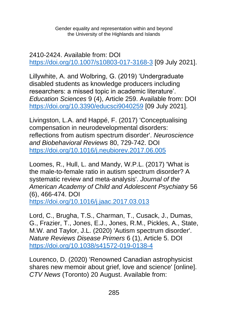2410-2424. Available from: DOI <https://doi.org/10.1007/s10803-017-3168-3> [09 July 2021].

Lillywhite, A. and Wolbring, G. (2019) 'Undergraduate disabled students as knowledge producers including researchers: a missed topic in academic literature'. *Education Sciences* 9 (4), Article 259. Available from: DOI <https://doi.org/10.3390/educsci9040259> [09 July 2021].

Livingston, L.A. and Happé, F. (2017) 'Conceptualising compensation in neurodevelopmental disorders: reflections from autism spectrum disorder'. *Neuroscience and Biobehavioral Reviews* 80, 729-742. DOI <https://doi.org/10.1016/j.neubiorev.2017.06.005>

Loomes, R., Hull, L. and Mandy, W.P.L. (2017) 'What is the male-to-female ratio in autism spectrum disorder? A systematic review and meta-analysis'. *Journal of the American Academy of Child and Adolescent Psychiatry* 56 (6), 466-474. DOI <https://doi.org/10.1016/j.jaac.2017.03.013>

Lord, C., Brugha, T.S., Charman, T., Cusack, J., Dumas, G., Frazier, T., Jones, E.J., Jones, R.M., Pickles, A., State, M.W. and Taylor, J.L. (2020) 'Autism spectrum disorder'. *Nature Reviews Disease Primers* 6 (1), Article 5. DOI

<https://doi.org/10.1038/s41572-019-0138-4>

Lourenco, D. (2020) 'Renowned Canadian astrophysicist shares new memoir about grief, love and science' [online]. *CTV News* (Toronto) 20 August. Available from: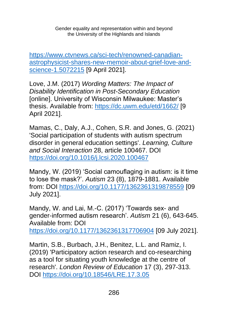[https://www.ctvnews.ca/sci-tech/renowned-canadian](https://www.ctvnews.ca/sci-tech/renowned-canadian-astrophysicist-shares-new-memoir-about-grief-love-and-science-1.5072215)[astrophysicist-shares-new-memoir-about-grief-love-and](https://www.ctvnews.ca/sci-tech/renowned-canadian-astrophysicist-shares-new-memoir-about-grief-love-and-science-1.5072215)[science-1.5072215](https://www.ctvnews.ca/sci-tech/renowned-canadian-astrophysicist-shares-new-memoir-about-grief-love-and-science-1.5072215) [9 April 2021].

Love, J.M. (2017) *Wording Matters: The Impact of Disability Identification in Post-Secondary Education* [online]. University of Wisconsin Milwaukee: Master's thesis. Available from: <https://dc.uwm.edu/etd/1662/> [9 April 2021].

Mamas, C., Daly, A.J., Cohen, S.R. and Jones, G. (2021) 'Social participation of students with autism spectrum disorder in general education settings'. *Learning, Culture and Social Interaction* 28, article 100467. DOI <https://doi.org/10.1016/j.lcsi.2020.100467>

Mandy, W. (2019) 'Social camouflaging in autism: is it time to lose the mask?'. *Autism* 23 (8), 1879-1881. Available from: DOI<https://doi.org/10.1177/1362361319878559> [09 July 2021].

Mandy, W. and Lai, M.-C. (2017) 'Towards sex- and gender-informed autism research'. *Autism* 21 (6), 643-645. Available from: DOI <https://doi.org/10.1177/1362361317706904> [09 July 2021].

Martin, S.B., Burbach, J.H., Benitez, L.L. and Ramiz, I. (2019) 'Participatory action research and co-researching as a tool for situating youth knowledge at the centre of research'. *London Review of Education* 17 (3), 297-313. DOI<https://doi.org/10.18546/LRE.17.3.05>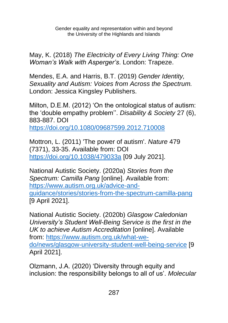May, K. (2018) *The Electricity of Every Living Thing: One Woman's Walk with Asperger's*. London: Trapeze.

Mendes, E.A. and Harris, B.T. (2019) *Gender Identity, Sexuality and Autism: Voices from Across the Spectrum.*  London: Jessica Kingsley Publishers.

Milton, D.E.M. (2012) 'On the ontological status of autism: the 'double empathy problem''. *Disability & Society* 27 (6), 883-887. DOI

<https://doi.org/10.1080/09687599.2012.710008>

Mottron, L. (2011) 'The power of autism'. *Nature* 479 (7371), 33-35. Available from: DOI <https://doi.org/10.1038/479033a> [09 July 2021].

National Autistic Society. (2020a) *Stories from the Spectrum: Camilla Pang* [online]. Available from: [https://www.autism.org.uk/advice-and](https://www.autism.org.uk/advice-and-guidance/stories/stories-from-the-spectrum-camilla-pang)[guidance/stories/stories-from-the-spectrum-camilla-pang](https://www.autism.org.uk/advice-and-guidance/stories/stories-from-the-spectrum-camilla-pang) [9 April 2021].

National Autistic Society. (2020b) *Glasgow Caledonian University's Student Well-Being Service is the first in the UK to achieve Autism Accreditation* [online]. Available from: [https://www.autism.org.uk/what-we](https://www.autism.org.uk/what-we-do/news/glasgow-university-student-well-being-service)[do/news/glasgow-university-student-well-being-service](https://www.autism.org.uk/what-we-do/news/glasgow-university-student-well-being-service) [9 April 2021].

Olzmann, J.A. (2020) 'Diversity through equity and inclusion: the responsibility belongs to all of us'. *Molecular*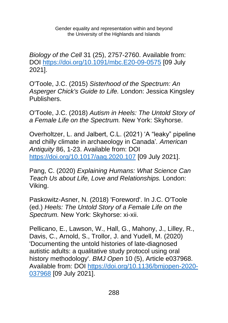*Biology of the Cell* 31 (25), 2757-2760. Available from: DOI<https://doi.org/10.1091/mbc.E20-09-0575> [09 July 2021].

O'Toole, J.C. (2015) *Sisterhood of the Spectrum: An Asperger Chick's Guide to Life.* London: Jessica Kingsley Publishers.

O'Toole, J.C. (2018) *Autism in Heels: The Untold Story of a Female Life on the Spectrum.* New York: Skyhorse.

Overholtzer, L. and Jalbert, C.L. (2021) 'A "leaky" pipeline and chilly climate in archaeology in Canada'*. American Antiquity* 86, 1-23. Available from: DOI <https://doi.org/10.1017/aaq.2020.107> [09 July 2021].

Pang, C. (2020) *Explaining Humans: What Science Can Teach Us about Life, Love and Relationships.* London: Viking.

Paskowitz-Asner, N. (2018) 'Foreword'. In J.C. O'Toole (ed.) *Heels: The Untold Story of a Female Life on the Spectrum.* New York: Skyhorse: xi-xii.

Pellicano, E., Lawson, W., Hall, G., Mahony, J., Lilley, R., Davis, C., Arnold, S., Trollor, J. and Yudell, M. (2020) 'Documenting the untold histories of late-diagnosed autistic adults: a qualitative study protocol using oral history methodology'. *BMJ Open* 10 (5), Article e037968. Available from: DOI [https://doi.org/10.1136/bmjopen-2020-](https://doi.org/10.1136/bmjopen-2020-037968) [037968](https://doi.org/10.1136/bmjopen-2020-037968) [09 July 2021].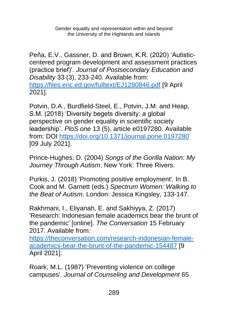Peña, E.V., Gassner, D. and Brown, K.R. (2020) 'Autisticcentered program development and assessment practices (practice brief)'. *Journal of Postsecondary Education and Disability* 33 (3), 233-240. Available from: <https://files.eric.ed.gov/fulltext/EJ1280846.pdf> [9 April 2021].

Potvin, D.A., Burdfield-Steel, E., Potvin, J.M. and Heap, S.M. (2018) 'Diversity begets diversity: a global perspective on gender equality in scientific society leadership'. *PloS one* 13 (5), article e0197280. Available from: DOI<https://doi.org/10.1371/journal.pone.0197280> [09 July 2021].

Prince-Hughes, D. (2004) *Songs of the Gorilla Nation: My Journey Through Autism*. New York: Three Rivers.

Purkis, J. (2018) 'Promoting positive employment'. In B. Cook and M. Garnett (eds.) *Spectrum Women: Walking to the Beat of Autism*. London: Jessica Kingsley, 133-147.

Rakhmani, I., Eliyanah, E. and Sakhiyya, Z. (2017) 'Research: Indonesian female academics bear the brunt of the pandemic' [online]. *The Conversation* 15 February 2017. Available from:

[https://theconversation.com/research-indonesian-female](https://theconversation.com/research-indonesian-female-academics-bear-the-brunt-of-the-pandemic-154487)[academics-bear-the-brunt-of-the-pandemic-154487](https://theconversation.com/research-indonesian-female-academics-bear-the-brunt-of-the-pandemic-154487) [9 April 2021].

Roark, M.L. (1987) 'Preventing violence on college campuses'. *Journal of Counseling and Development* 65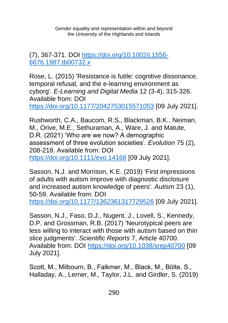#### (7), 367-371. DOI [https://doi.org/10.1002/j.1556-](https://doi.org/10.1002/j.1556-6676.1987.tb00732.x) [6676.1987.tb00732.x](https://doi.org/10.1002/j.1556-6676.1987.tb00732.x)

Rose, L. (2015) 'Resistance is futile: cognitive dissonance, temporal refusal, and the e-learning environment as cyborg'. *E-Learning and Digital Media* 12 (3-4), 315-326. Available from: DOI

<https://doi.org/10.1177/2042753015571053> [09 July 2021].

Rushworth, C.A., Baucom, R.S., Blackman, B.K., Neiman, M., Orive, M.E., Sethuraman, A., Ware, J. and Matute, D.R. (2021) 'Who are we now? A demographic assessment of three evolution societies'. *Evolution* 75 (2), 208-218. Available from: DOI <https://doi.org/10.1111/evo.14168> [09 July 2021].

Sasson, N.J. and Morrison, K.E. (2019) 'First impressions of adults with autism improve with diagnostic disclosure and increased autism knowledge of peers'. *Autism* 23 (1), 50-59. Available from: DOI <https://doi.org/10.1177/1362361317729526> [09 July 2021].

Sasson, N.J., Faso, D.J., Nugent, J., Lovell, S., Kennedy, D.P. and Grossman, R.B. (2017) 'Neurotypical peers are less willing to interact with those with autism based on thin slice judgments'. *Scientific Reports* 7, Article 40700. Available from: DOI<https://doi.org/10.1038/srep40700> [09 July 2021].

Scott, M., Milbourn, B., Falkmer, M., Black, M., Bölte, S., Halladay, A., Lerner, M., Taylor, J.L. and Girdler, S. (2019)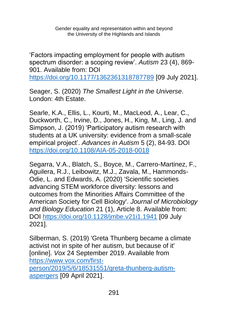'Factors impacting employment for people with autism spectrum disorder: a scoping review'. *Autism* 23 (4), 869- 901. Available from: DOI

<https://doi.org/10.1177/1362361318787789> [09 July 2021].

Seager, S. (2020) *The Smallest Light in the Universe*. London: 4th Estate.

Searle, K.A., Ellis, L., Kourti, M., MacLeod, A., Lear, C., Duckworth, C., Irvine, D., Jones, H., King, M., Ling, J. and Simpson, J. (2019) 'Participatory autism research with students at a UK university: evidence from a small-scale empirical project'. *Advances in Autism* 5 (2), 84-93. DOI <https://doi.org/10.1108/AIA-05-2018-0018>

Segarra, V.A., Blatch, S., Boyce, M., Carrero-Martinez, F., Aguilera, R.J., Leibowitz, M.J., Zavala, M., Hammonds-Odie, L. and Edwards, A. (2020) 'Scientific societies advancing STEM workforce diversity: lessons and outcomes from the Minorities Affairs Committee of the American Society for Cell Biology'. *Journal of Microbiology and Biology Education* 21 (1), Article 8. Available from: DOI<https://doi.org/10.1128/jmbe.v21i1.1941> [09 July 2021].

Silberman, S. (2019) 'Greta Thunberg became a climate activist not in spite of her autism, but because of it' [online]. *Vox* 24 September 2019. Available from [https://www.vox.com/first](https://www.vox.com/first-person/2019/5/6/18531551/greta-thunberg-autism-aspergers)[person/2019/5/6/18531551/greta-thunberg-autism](https://www.vox.com/first-person/2019/5/6/18531551/greta-thunberg-autism-aspergers)[aspergers](https://www.vox.com/first-person/2019/5/6/18531551/greta-thunberg-autism-aspergers) [09 April 2021].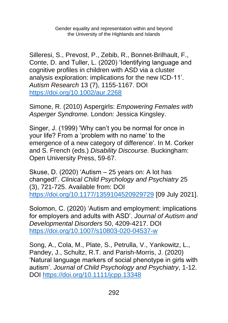Silleresi, S., Prevost, P., Zebib, R., Bonnet‐Brilhault, F., Conte, D. and Tuller, L. (2020) 'Identifying language and cognitive profiles in children with ASD via a cluster analysis exploration: implications for the new ICD‐11'. *Autism Research* 13 (7), 1155-1167. DOI <https://doi.org/10.1002/aur.2268>

Simone, R. (2010) Aspergirls: *Empowering Females with Asperger Syndrome.* London: Jessica Kingsley.

Singer, J. (1999) 'Why can't you be normal for once in your life? From a 'problem with no name' to the emergence of a new category of difference'. In M. Corker and S. French (eds.) *Disability Discourse.* Buckingham: Open University Press, 59-67.

Skuse, D. (2020) 'Autism – 25 years on: A lot has changed!'. *Clinical Child Psychology and Psychiatry* 25 (3), 721-725. Available from: DOI <https://doi.org/10.1177/1359104520929729> [09 July 2021].

Solomon, C. (2020) 'Autism and employment: implications for employers and adults with ASD'. *Journal of Autism and Developmental Disorders* 50, 4209-4217. DOI <https://doi.org/10.1007/s10803-020-04537-w>

Song, A., Cola, M., Plate, S., Petrulla, V., Yankowitz, L., Pandey, J., Schultz, R.T. and Parish-Morris, J. (2020) 'Natural language markers of social phenotype in girls with autism'. *Journal of Child Psychology and Psychiatry*, 1-12. DOI<https://doi.org/10.1111/jcpp.13348>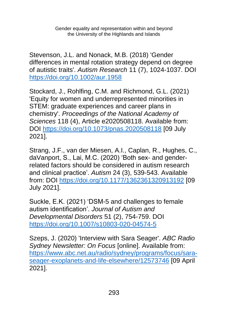Stevenson, J.L. and Nonack, M.B. (2018) 'Gender differences in mental rotation strategy depend on degree of autistic traits'. *Autism Research* 11 (7), 1024-1037. DOI <https://doi.org/10.1002/aur.1958>

Stockard, J., Rohlfing, C.M. and Richmond, G.L. (2021) 'Equity for women and underrepresented minorities in STEM: graduate experiences and career plans in chemistry'. *Proceedings of the National Academy of Sciences* 118 (4), Article e2020508118. Available from: DOI<https://doi.org/10.1073/pnas.2020508118> [09 July 2021].

Strang, J.F., van der Miesen, A.I., Caplan, R., Hughes, C., daVanport, S., Lai, M.C. (2020) 'Both sex- and genderrelated factors should be considered in autism research and clinical practice'. *Autism* 24 (3), 539-543. Available from: DOI<https://doi.org/10.1177/1362361320913192> [09 July 2021].

Suckle, E.K. (2021) 'DSM-5 and challenges to female autism identification'. *Journal of Autism and Developmental Disorders* 51 (2), 754-759. DOI <https://doi.org/10.1007/s10803-020-04574-5>

Szeps, J. (2020) 'Interview with Sara Seager'. *ABC Radio Sydney Newsletter: On Focus* [online]. Available from: [https://www.abc.net.au/radio/sydney/programs/focus/sara](https://www.abc.net.au/radio/sydney/programs/focus/sara-seager-exoplanets-and-life-elsewhere/12573746)[seager-exoplanets-and-life-elsewhere/12573746](https://www.abc.net.au/radio/sydney/programs/focus/sara-seager-exoplanets-and-life-elsewhere/12573746) [09 April 2021].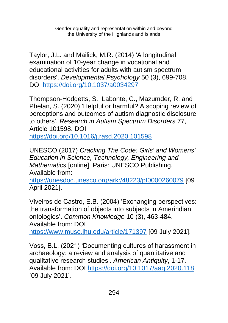Taylor, J.L. and Mailick, M.R. (2014) 'A longitudinal examination of 10-year change in vocational and educational activities for adults with autism spectrum disorders'. *Developmental Psychology* 50 (3), 699-708. DOI<https://doi.org/10.1037/a0034297>

Thompson-Hodgetts, S., Labonte, C., Mazumder, R. and Phelan, S. (2020) 'Helpful or harmful? A scoping review of perceptions and outcomes of autism diagnostic disclosure to others'. *Research in Autism Spectrum Disorders* 77, Article 101598. DOI <https://doi.org/10.1016/j.rasd.2020.101598>

UNESCO (2017) *Cracking The Code: Girls' and Womens' Education in Science, Technology, Engineering and Mathematics* [online]. Paris: UNESCO Publishing. Available from:

<https://unesdoc.unesco.org/ark:/48223/pf0000260079> [09 April 2021].

Viveiros de Castro, E.B. (2004) 'Exchanging perspectives: the transformation of objects into subjects in Amerindian ontologies'. *Common Knowledge* 10 (3), 463-484. Available from: DOI

<https://www.muse.jhu.edu/article/171397> [09 July 2021].

Voss, B.L. (2021) 'Documenting cultures of harassment in archaeology: a review and analysis of quantitative and qualitative research studies'. *American Antiquity*, 1-17. Available from: DOI<https://doi.org/10.1017/aaq.2020.118> [09 July 2021].